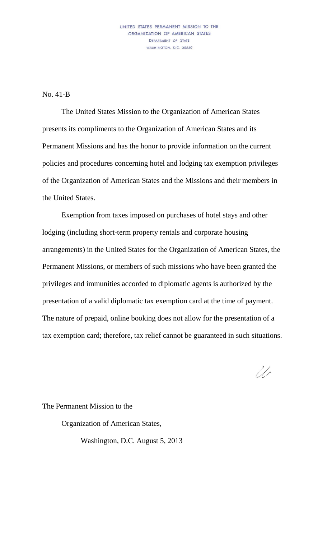## UNITED STATES PERMANENT MISSION TO THE ORGANIZATION OF AMERICAN STATES DEPARTMENT OF STATE WASHINGTON, D.C. 20520

No. 41-B

The United States Mission to the Organization of American States presents its compliments to the Organization of American States and its Permanent Missions and has the honor to provide information on the current policies and procedures concerning hotel and lodging tax exemption privileges of the Organization of American States and the Missions and their members in the United States.

Exemption from taxes imposed on purchases of hotel stays and other lodging (including short-term property rentals and corporate housing arrangements) in the United States for the Organization of American States, the Permanent Missions, or members of such missions who have been granted the privileges and immunities accorded to diplomatic agents is authorized by the presentation of a valid diplomatic tax exemption card at the time of payment. The nature of prepaid, online booking does not allow for the presentation of a tax exemption card; therefore, tax relief cannot be guaranteed in such situations.

11,

The Permanent Mission to the

Organization of American States,

Washington, D.C. August 5, 2013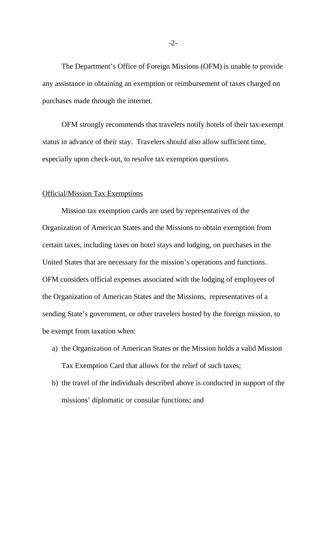The Department's Office of Foreign Missions (OFM) is unable to provide any assistance in obtaining an exemption or reimbursement of taxes charged on purchases made through the internet.

OFM strongly recommends that travelers notify hotels of their tax-exempt status in advance of their stay. Travelers should also allow sufficient time, especially upon check-out, to resolve tax exemption questions.

## Official/Mission Tax Exemptions

Mission tax exemption cards are used by representatives of the Organization of American States and the Missions to obtain exemption from certain taxes, including taxes on hotel stays and lodging, on purchases in the United States that are necessary for the mission's operations and functions. OFM considers official expenses associated with the lodging of employees of the Organization of American States and the Missions, representatives of a sending State's government, or other travelers hosted by the foreign mission, to be exempt from taxation when:

- a) the Organization of American States or the Mission holds a valid Mission Tax Exemption Card that allows for the relief of such taxes;
- b) the travel of the individuals described above is conducted in support of the missions' diplomatic or consular functions; and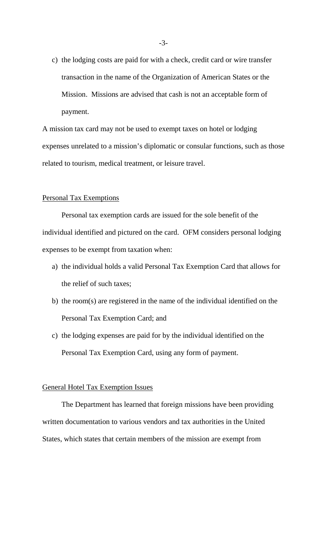c) the lodging costs are paid for with a check, credit card or wire transfer transaction in the name of the Organization of American States or the Mission. Missions are advised that cash is not an acceptable form of payment.

A mission tax card may not be used to exempt taxes on hotel or lodging expenses unrelated to a mission's diplomatic or consular functions, such as those related to tourism, medical treatment, or leisure travel.

## Personal Tax Exemptions

Personal tax exemption cards are issued for the sole benefit of the individual identified and pictured on the card. OFM considers personal lodging expenses to be exempt from taxation when:

- a) the individual holds a valid Personal Tax Exemption Card that allows for the relief of such taxes;
- b) the room(s) are registered in the name of the individual identified on the Personal Tax Exemption Card; and
- c) the lodging expenses are paid for by the individual identified on the Personal Tax Exemption Card, using any form of payment.

## General Hotel Tax Exemption Issues

The Department has learned that foreign missions have been providing written documentation to various vendors and tax authorities in the United States, which states that certain members of the mission are exempt from